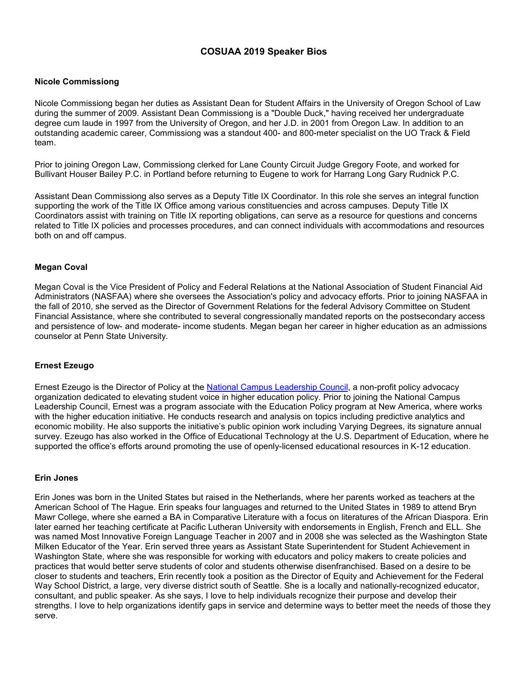# **COSUAA 2019 Speaker Bios**

### **Nicole Commissiong**

Nicole Commissiong began her duties as Assistant Dean for Student Affairs in the University of Oregon School of Law during the summer of 2009. Assistant Dean Commissiong is a "Double Duck," having received her undergraduate degree cum laude in 1997 from the University of Oregon, and her J.D. in 2001 from Oregon Law. In addition to an outstanding academic career, Commissiong was a standout 400- and 800-meter specialist on the UO Track & Field team.

Prior to joining Oregon Law, Commissiong clerked for Lane County Circuit Judge Gregory Foote, and worked for Bullivant Houser Bailey P.C. in Portland before returning to Eugene to work for Harrang Long Gary Rudnick P.C.

Assistant Dean Commissiong also serves as a Deputy Title IX Coordinator. In this role she serves an integral function supporting the work of the Title IX Office among various constituencies and across campuses. Deputy Title IX Coordinators assist with training on Title IX reporting obligations, can serve as a resource for questions and concerns related to Title IX policies and processes procedures, and can connect individuals with accommodations and resources both on and off campus.

## **Megan Coval**

Megan Coval is the Vice President of Policy and Federal Relations at the National Association of Student Financial Aid Administrators (NASFAA) where she oversees the Association's policy and advocacy efforts. Prior to joining NASFAA in the fall of 2010, she served as the Director of Government Relations for the federal Advisory Committee on Student Financial Assistance, where she contributed to several congressionally mandated reports on the postsecondary access and persistence of low- and moderate- income students. Megan began her career in higher education as an admissions counselor at Penn State University.

### **Ernest Ezeugo**

Ernest Ezeugo is the Director of Policy at the [National Campus Leadership Council,](https://www.campusleaders.org/nclc/about-us) a non-profit policy advocacy organization dedicated to elevating student voice in higher education policy. Prior to joining the National Campus Leadership Council, Ernest was a program associate with the Education Policy program at New America, where works with the higher education initiative. He conducts research and analysis on topics including predictive analytics and economic mobility. He also supports the initiative's public opinion work including Varying Degrees, its signature annual survey. Ezeugo has also worked in the Office of Educational Technology at the U.S. Department of Education, where he supported the office's efforts around promoting the use of openly-licensed educational resources in K-12 education.

### **Erin Jones**

Erin Jones was born in the United States but raised in the Netherlands, where her parents worked as teachers at the American School of The Hague. Erin speaks four languages and returned to the United States in 1989 to attend Bryn Mawr College, where she earned a BA in Comparative Literature with a focus on literatures of the African Diaspora. Erin later earned her teaching certificate at Pacific Lutheran University with endorsements in English, French and ELL. She was named Most Innovative Foreign Language Teacher in 2007 and in 2008 she was selected as the Washington State Milken Educator of the Year. Erin served three years as Assistant State Superintendent for Student Achievement in Washington State, where she was responsible for working with educators and policy makers to create policies and practices that would better serve students of color and students otherwise disenfranchised. Based on a desire to be closer to students and teachers, Erin recently took a position as the Director of Equity and Achievement for the Federal Way School District, a large, very diverse district south of Seattle. She is a locally and nationally-recognized educator, consultant, and public speaker. As she says, I love to help individuals recognize their purpose and develop their strengths. I love to help organizations identify gaps in service and determine ways to better meet the needs of those they serve.